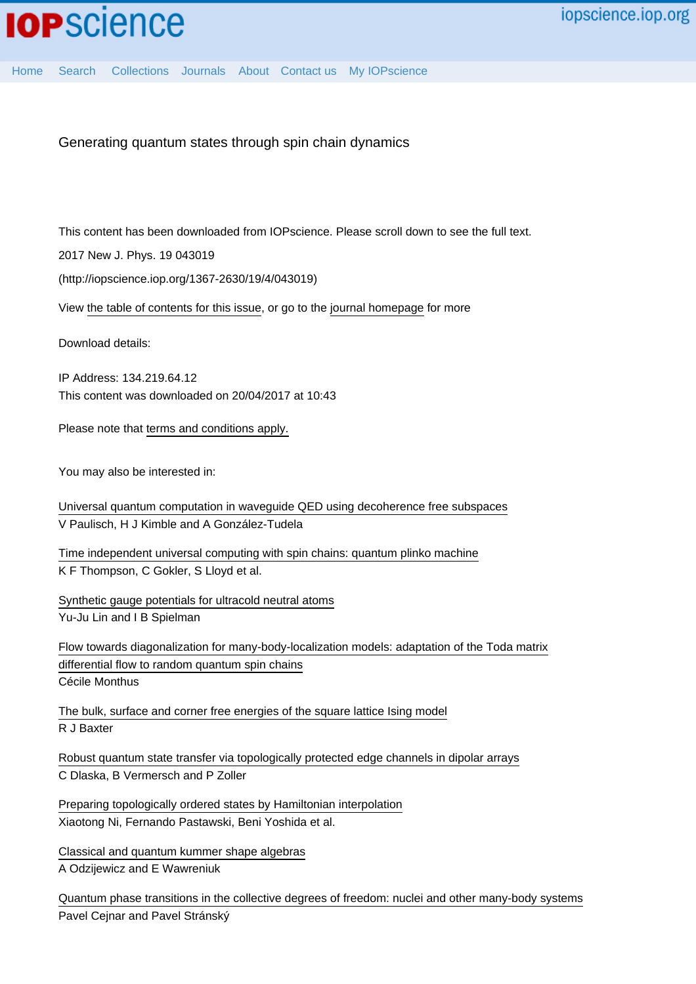Generating quantum states through spin chain dynamics

This content has been downloaded from IOPscience. Please scroll down to see the full text.

2017 New J. Phys. 19 043019

(http://iopscience.iop.org/1367-2630/19/4/043019)

View [the table of contents for this issue](http://iopscience.iop.org/1367-2630/19/4), or go to the [journal homepage](http://iopscience.iop.org/1367-2630) for more

Download details:

IP Address: 134.219.64.12 This content was downloaded on 20/04/2017 at 10:43

Please note that [terms and conditions apply.](http://iopscience.iop.org/page/terms)

You may also be interested in:

[Universal quantum computation in waveguide QED using decoherence free subspaces](http://iopscience.iop.org/article/10.1088/1367-2630/18/4/043041) V Paulisch, H J Kimble and A González-Tudela

[Time independent universal computing with spin chains: quantum plinko machine](http://iopscience.iop.org/article/10.1088/1367-2630/18/7/073044) K F Thompson, C Gokler, S Lloyd et al.

[Synthetic gauge potentials for ultracold neutral atoms](http://iopscience.iop.org/article/10.1088/0953-4075/49/18/183001) Yu-Ju Lin and I B Spielman

[Flow towards diagonalization for many-body-localization models: adaptation of the Toda matrix](http://iopscience.iop.org/article/10.1088/1751-8113/49/30/305002) [differential flow to random quantum spin chains](http://iopscience.iop.org/article/10.1088/1751-8113/49/30/305002) Cécile Monthus

[The bulk, surface and corner free energies of the square lattice Ising model](http://iopscience.iop.org/article/10.1088/1751-8113/50/1/014001) R J Baxter

[Robust quantum state transfer via topologically protected edge channels in dipolar arrays](http://iopscience.iop.org/article/10.1088/2058-9565/2/1/015001) C Dlaska, B Vermersch and P Zoller

[Preparing topologically ordered states by Hamiltonian interpolation](http://iopscience.iop.org/article/10.1088/1367-2630/18/9/093027) Xiaotong Ni, Fernando Pastawski, Beni Yoshida et al.

[Classical and quantum kummer shape algebras](http://iopscience.iop.org/article/10.1088/1751-8113/49/26/265202) A Odzijewicz and E Wawreniuk

[Quantum phase transitions in the collective degrees of freedom: nuclei and other many-body systems](http://iopscience.iop.org/article/10.1088/0031-8949/91/8/083006) Pavel Cejnar and Pavel Stránský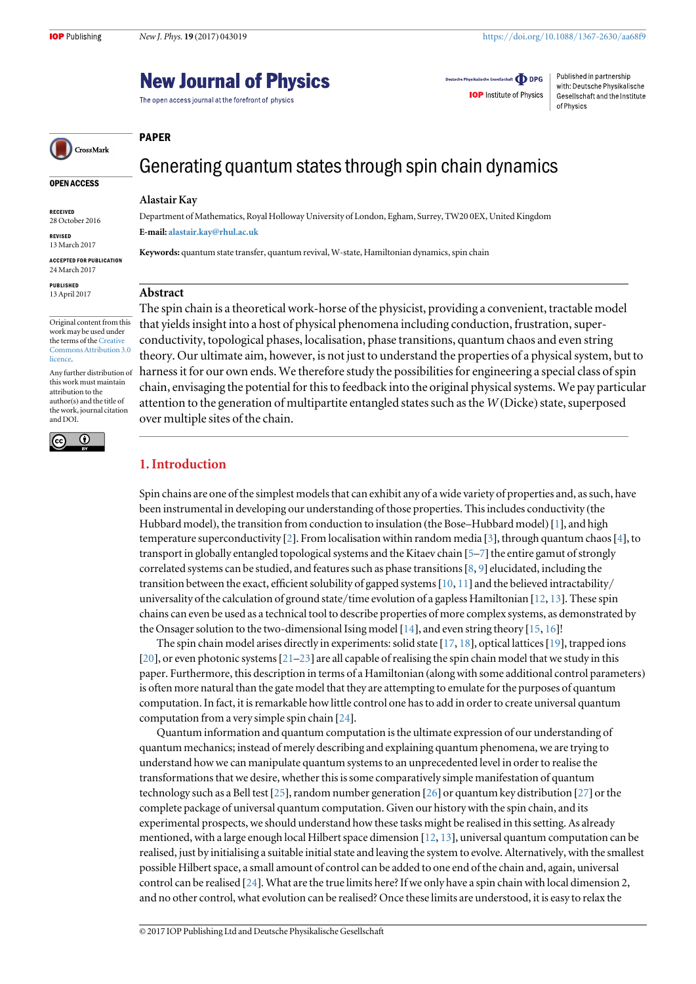of Physics

Deutsche Physikalische Gesellschaft **ODPG** 

**IOP** Institute of Physics

Published in partnership

with: Deutsche Physikalische

Gesellschaft and the Institute

# **New Journal of Physics**

The open access journal at the forefront of physics

CrossMark

# Generating quantum states through spin chain dynamics

#### Alastair Kay

Department of Mathematics, Royal Holloway University of London, Egham, Surrey, TW20 0EX, United Kingdom E-mail: [alastair.kay@rhul.ac.uk](mailto:alastair.kay@rhul.ac.uk)

Keywords: quantum state transfer, quantum revival, W-state, Hamiltonian dynamics, spin chain

# Abstract

The spin chain is a theoretical work-horse of the physicist, providing a convenient, tractable model that yields insight into a host of physical phenomena including conduction, frustration, superconductivity, topological phases, localisation, phase transitions, quantum chaos and even string theory. Our ultimate aim, however, is not just to understand the properties of a physical system, but to harness it for our own ends. We therefore study the possibilities for engineering a special class of spin chain, envisaging the potential for this to feedback into the original physical systems. We pay particular attention to the generation of multipartite entangled states such as the  $W(Dicke)$  state, superposed over multiple sites of the chain.

## 1. Introduction

Spin chains are one of the simplest models that can exhibit any of a wide variety of properties and, as such, have been instrumental in developing our understanding of those properties. This includes conductivity (the Hubbard model), the transition from conduction to insulation (the Bose–Hubbard model) [[1](#page-14-0)], and high temperature superconductivity [[2](#page-14-0)]. From localisation within random media [[3](#page-14-0)], through quantum chaos[[4](#page-14-0)], to transport in globally entangled topological systems and the Kitaev chain [[5](#page-14-0)–[7](#page-14-0)] the entire gamut of strongly correlated systems can be studied, and features such as phase transitions [[8](#page-14-0), [9](#page-14-0)] elucidated, including the transition between the exact, efficient solubility of gapped systems  $[10, 11]$  $[10, 11]$  $[10, 11]$  $[10, 11]$  $[10, 11]$  and the believed intractability/ universality of the calculation of ground state/time evolution of a gapless Hamiltonian [[12,](#page-14-0) [13](#page-14-0)]. These spin chains can even be used as a technical tool to describe properties of more complex systems, as demonstrated by the Onsager solution to the two-dimensional Ising model [[14](#page-14-0)], and even string theory [[15](#page-15-0), [16](#page-15-0)]!

The spin chain model arises directly in experiments: solid state [[17,](#page-15-0) [18](#page-15-0)], optical lattices[[19](#page-15-0)], trapped ions [[20](#page-15-0)], or even photonic systems[[21](#page-15-0)–[23](#page-15-0)] are all capable of realising the spin chain model that we study in this paper. Furthermore, this description in terms of a Hamiltonian (along with some additional control parameters) is often more natural than the gate model that they are attempting to emulate for the purposes of quantum computation. In fact, it is remarkable how little control one has to add in order to create universal quantum computation from a very simple spin chain [[24](#page-15-0)].

Quantum information and quantum computation is the ultimate expression of our understanding of quantum mechanics; instead of merely describing and explaining quantum phenomena, we are trying to understand how we can manipulate quantum systems to an unprecedented level in order to realise the transformations that we desire, whether this is some comparatively simple manifestation of quantum technology such as a Bell test [[25](#page-15-0)], random number generation [[26](#page-15-0)] or quantum key distribution [[27](#page-15-0)] or the complete package of universal quantum computation. Given our history with the spin chain, and its experimental prospects, we should understand how these tasks might be realised in this setting. As already mentioned, with a large enough local Hilbert space dimension [[12,](#page-14-0) [13](#page-14-0)], universal quantum computation can be realised, just by initialising a suitable initial state and leaving the system to evolve. Alternatively, with the smallest possible Hilbert space, a small amount of control can be added to one end of the chain and, again, universal control can be realised [[24](#page-15-0)]. What are the true limits here? If we only have a spin chain with local dimension 2, and no other control, what evolution can be realised? Once these limits are understood, it is easy to relax the

#### © 2017 IOP Publishing Ltd and Deutsche Physikalische Gesellschaft

# PAPER

28 October 2016 REVISED

RECEIVED

OPEN ACCESS

13 March 2017 ACCEPTED FOR PUBLICATION

24 March 2017

PUBLISHED 13 April 2017

Original content from this work may be used under the terms of the [Creative](http://creativecommons.org/licenses/by/3.0) [Commons Attribution 3.0](http://creativecommons.org/licenses/by/3.0) [licence.](http://creativecommons.org/licenses/by/3.0)

Any further distribution of this work must maintain attribution to the author(s) and the title of the work, journal citation and DOI.

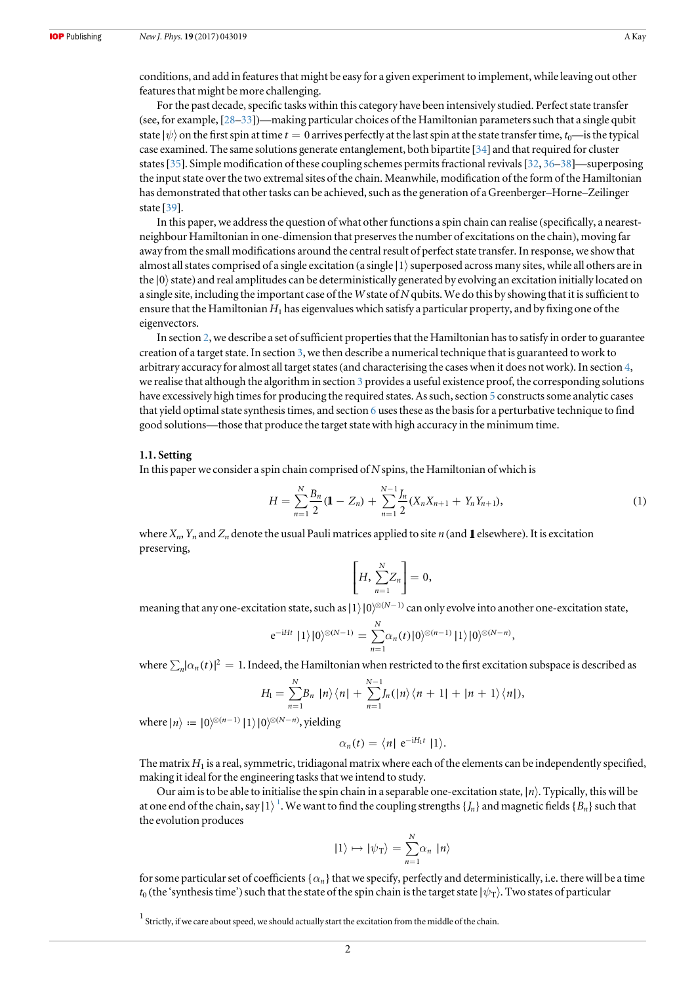<span id="page-2-0"></span>conditions, and add in features that might be easy for a given experiment to implement, while leaving out other features that might be more challenging.

For the past decade, specific tasks within this category have been intensively studied. Perfect state transfer (see, for example, [[28](#page-15-0)–[33](#page-15-0)])—making particular choices of the Hamiltonian parameters such that a single qubit state  $|\psi\rangle$  on the first spin at time  $t = 0$  arrives perfectly at the last spin at the state transfer time,  $t_0$ —is the typical case examined. The same solutions generate entanglement, both bipartite [[34](#page-15-0)] and that required for cluster states[[35](#page-15-0)]. Simple modification of these coupling schemes permits fractional revivals[[32,](#page-15-0) [36](#page-15-0)–[38](#page-15-0)]—superposing the input state over the two extremal sites of the chain. Meanwhile, modification of the form of the Hamiltonian has demonstrated that other tasks can be achieved, such as the generation of a Greenberger–Horne–Zeilinger state [[39](#page-15-0)].

In this paper, we address the question of what other functions a spin chain can realise (specifically, a nearestneighbour Hamiltonian in one-dimension that preserves the number of excitations on the chain), moving far away from the small modifications around the central result of perfect state transfer. In response, we show that almost all states comprised of a single excitation (a single  $|1\rangle$  superposed across many sites, while all others are in the  $|0\rangle$  state) and real amplitudes can be deterministically generated by evolving an excitation initially located on a single site, including the important case of the W state of N qubits. We do this by showing that it is sufficient to ensure that the Hamiltonian  $H_1$  has eigenvalues which satisfy a particular property, and by fixing one of the eigenvectors.

In section [2,](#page-3-0) we describe a set of sufficient properties that the Hamiltonian has to satisfy in order to guarantee creation of a target state. In section [3](#page-4-0), we then describe a numerical technique that is guaranteed to work to arbitrary accuracy for almost all target states (and characterising the cases when it does not work). In section  $4$ , we realise that although the algorithm in section [3](#page-4-0) provides a useful existence proof, the corresponding solutions have excessively high times for producing the required states. As such, section [5](#page-7-0) constructs some analytic cases that yield optimal state synthesis times, and section [6](#page-8-0) uses these as the basis for a perturbative technique to find good solutions—those that produce the target state with high accuracy in the minimum time.

#### 1.1. Setting

In this paper we consider a spin chain comprised of  $N$  spins, the Hamiltonian of which is

$$
H = \sum_{n=1}^{N} \frac{B_n}{2} (\mathbf{1} - Z_n) + \sum_{n=1}^{N-1} \frac{J_n}{2} (X_n X_{n+1} + Y_n Y_{n+1}),
$$
\n(1)

where  $X_n$ ,  $Y_n$  and  $Z_n$  denote the usual Pauli matrices applied to site *n* (and 1 elsewhere). It is excitation preserving,

$$
\left[H,\sum_{n=1}^N Z_n\right]=0,
$$

meaning that any one-excitation state, such as  $|1\rangle|0\rangle^{\otimes(N-1)}$  can only evolve into another one-excitation state,

$$
e^{-iHt} |1\rangle |0\rangle^{\otimes (N-1)} = \sum_{n=1}^{N} \alpha_n(t) |0\rangle^{\otimes (n-1)} |1\rangle |0\rangle^{\otimes (N-n)},
$$

where  $\sum_{n} |\alpha_n(t)|^2 = 1$ . Indeed, the Hamiltonian when restricted to the first excitation subspace is described as

$$
H_1 = \sum_{n=1}^{N} B_n |n\rangle\langle n| + \sum_{n=1}^{N-1} J_n(|n\rangle\langle n+1| + |n+1\rangle\langle n|),
$$

where  $\ket{n} := \ket{0}^{\otimes (n-1)} \ket{1} \ket{0}^{\otimes (N-n)}$ , yielding

$$
\alpha_n(t) = \langle n | e^{-iH_1t} | 1 \rangle.
$$

The matrix  $H_1$  is a real, symmetric, tridiagonal matrix where each of the elements can be independently specified, making it ideal for the engineering tasks that we intend to study.

Our aim is to be able to initialise the spin chain in a separable one-excitation state, ∣*n*ñ. Typically, this will be at one end of the chain, say  $|1\rangle$   $^{1}$ . We want to find the coupling strengths  $\{J_n\}$  and magnetic fields  $\{B_n\}$  such that the evolution produces

$$
|1\rangle \mapsto |\psi_{\text{T}}\rangle = \sum_{n=1}^{N} \alpha_n |n\rangle
$$

for some particular set of coefficients { $\alpha_n$ } that we specify, perfectly and deterministically, i.e. there will be a time  $t_0$  (the 'synthesis time') such that the state of the spin chain is the target state  $|\psi_T\rangle$ . Two states of particular

 $^1$  Strictly, if we care about speed, we should actually start the excitation from the middle of the chain.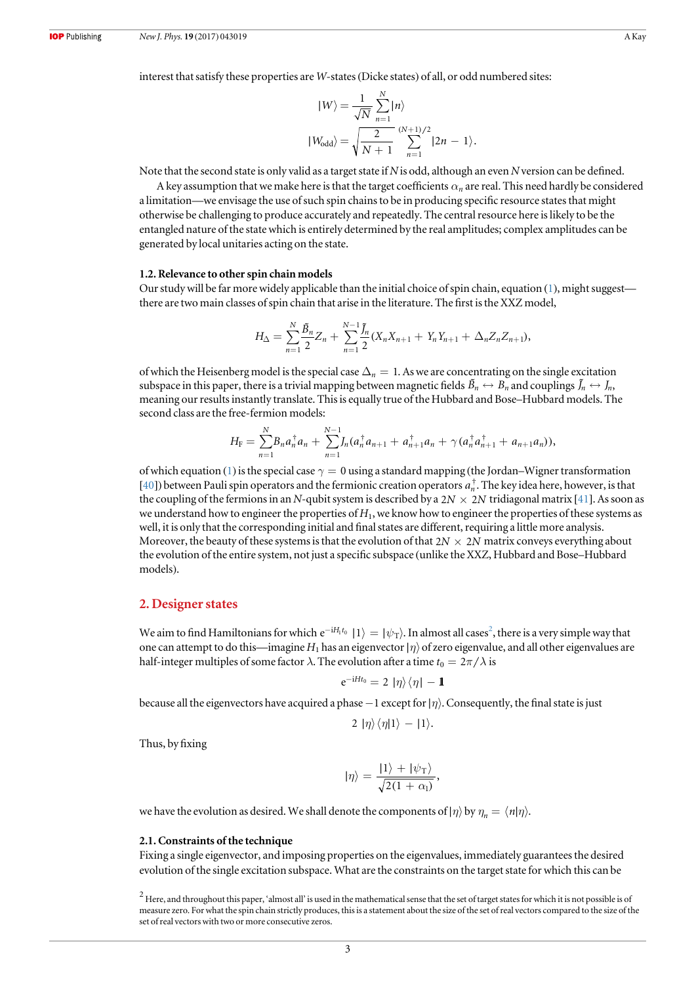<span id="page-3-0"></span>interest that satisfy these properties are W-states(Dicke states) of all, or odd numbered sites:

$$
|W\rangle = \frac{1}{\sqrt{N}} \sum_{n=1}^{N} |n\rangle
$$
  
\n
$$
|W_{\text{odd}}\rangle = \sqrt{\frac{2}{N+1}} \sum_{n=1}^{(N+1)/2} |2n - 1\rangle.
$$

Note that the second state is only valid as a target state if N is odd, although an even N version can be defined.

A key assumption that we make here is that the target coefficients  $\alpha_n$  are real. This need hardly be considered a limitation—we envisage the use of such spin chains to be in producing specific resource states that might otherwise be challenging to produce accurately and repeatedly. The central resource here is likely to be the entangled nature of the state which is entirely determined by the real amplitudes; complex amplitudes can be generated by local unitaries acting on the state.

#### 1.2. Relevance to other spin chain models

Our study will be far more widely applicable than the initial choice of spin chain, equation ([1](#page-2-0)), might suggest there are two main classes of spin chain that arise in the literature. The first is the XXZ model,

$$
H_{\Delta} = \sum_{n=1}^{N} \frac{\tilde{B}_n}{2} Z_n + \sum_{n=1}^{N-1} \frac{\tilde{J}_n}{2} (X_n X_{n+1} + Y_n Y_{n+1} + \Delta_n Z_n Z_{n+1}),
$$

of which the Heisenberg model is the special case  $\Delta_n = 1$ . As we are concentrating on the single excitation subspace in this paper, there is a trivial mapping between magnetic fields  $\tilde{B}_n \leftrightarrow B_n$  and couplings  $\tilde{J}_n \leftrightarrow J_n$ , meaning our results instantly translate. This is equally true of the Hubbard and Bose–Hubbard models. The second class are the free-fermion models:

$$
H_{\rm F}=\sum_{n=1}^N B_na_n^{\dagger}a_n+\sum_{n=1}^{N-1}J_n(a_n^{\dagger}a_{n+1}+a_{n+1}^{\dagger}a_n+\gamma(a_n^{\dagger}a_{n+1}^{\dagger}+a_{n+1}a_n)),
$$

of which equation ([1](#page-2-0)) is the special case  $\gamma = 0$  using a standard mapping (the Jordan–Wigner transformation [[40](#page-15-0)]) between Pauli spin operators and the fermionic creation operators  $a_n^{\dagger}$ . The key idea here, however, is that the coupling of the fermions in an N-qubit system is described by a  $2N \times 2N$  tridiagonal matrix [[41](#page-15-0)]. As soon as we understand how to engineer the properties of  $H_1$ , we know how to engineer the properties of these systems as well, it is only that the corresponding initial and final states are different, requiring a little more analysis. Moreover, the beauty of these systems is that the evolution of that  $2N \times 2N$  matrix conveys everything about the evolution of the entire system, not just a specific subspace (unlike the XXZ, Hubbard and Bose–Hubbard models).

#### 2. Designer states

We aim to find Hamiltonians for which  $e^{-iH_1t_0}\ket{1} = |\psi_{\rm T}\rangle.$  In almost all cases $^2$ , there is a very simple way that one can attempt to do this—imagine  $H_1$  has an eigenvector  $|\eta\rangle$  of zero eigenvalue, and all other eigenvalues are half-integer multiples of some factor  $\lambda$ . The evolution after a time  $t_0 = 2\pi/\lambda$  is

$$
e^{-iHt_0}=2|\eta\rangle\langle\eta|-\mathbf{1}
$$

because all the eigenvectors have acquired a phase −1 except for∣*h*ñ. Consequently, the final state is just

$$
2 | \eta \rangle \langle \eta | 1 \rangle - | 1 \rangle.
$$

Thus, by fixing

$$
|\eta\rangle = \frac{|1\rangle + |\psi_{\rm T}\rangle}{\sqrt{2(1 + \alpha_1)}},
$$

we have the evolution as desired. We shall denote the components of  $|\eta\rangle$  by  $\eta_n = \langle n|\eta\rangle$ .

#### 2.1. Constraints of the technique

Fixing a single eigenvector, and imposing properties on the eigenvalues, immediately guarantees the desired evolution of the single excitation subspace. What are the constraints on the target state for which this can be

 $^2$  Here, and throughout this paper, 'almost all' is used in the mathematical sense that the set of target states for which it is not possible is of measure zero. For what the spin chain strictly produces, this is a statement about the size of the set of real vectors compared to the size of the set of real vectors with two or more consecutive zeros.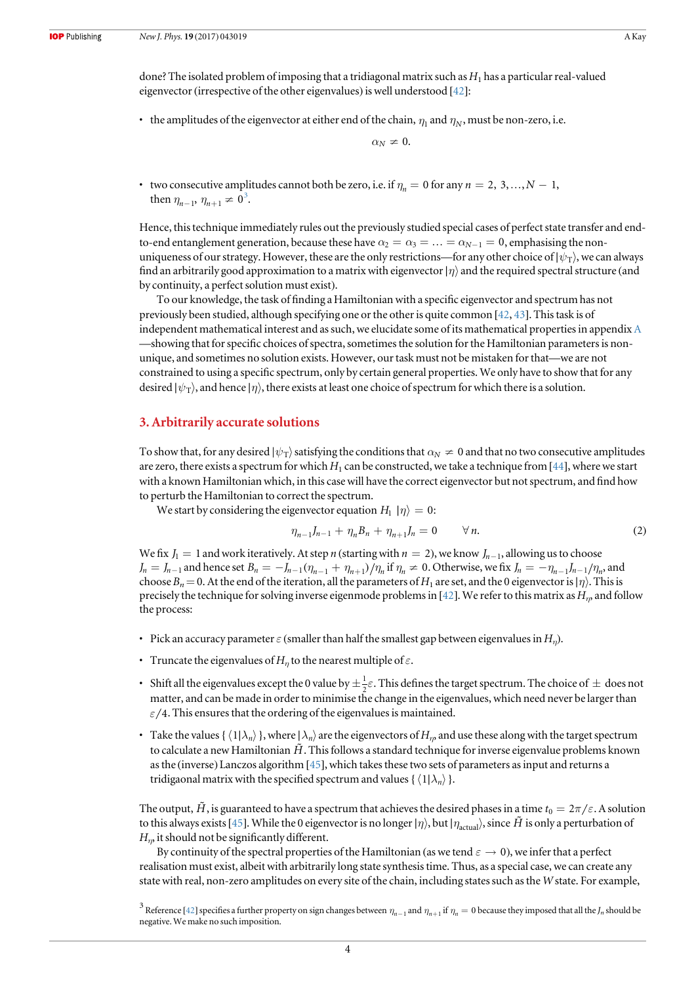<span id="page-4-0"></span>done? The isolated problem of imposing that a tridiagonal matrix such as  $H_1$  has a particular real-valued eigenvector (irrespective of the other eigenvalues) is well understood [[42](#page-15-0)]:

• the amplitudes of the eigenvector at either end of the chain,  $\eta_1$  and  $\eta_N$ , must be non-zero, i.e.

 $\alpha_N \neq 0$ .

• two consecutive amplitudes cannot both be zero, i.e. if  $\eta_n = 0$  for any  $n = 2, 3, ..., N - 1$ , then  $\eta_{n-1}, \eta_{n+1} \neq 0^3$ .

Hence, this technique immediately rules out the previously studied special cases of perfect state transfer and endto-end entanglement generation, because these have  $\alpha_2 = \alpha_3 = \ldots = \alpha_{N-1} = 0$ , emphasising the nonuniqueness of our strategy. However, these are the only restrictions—for any other choice of  $|\psi_T\rangle$ , we can always find an arbitrarily good approximation to a matrix with eigenvector  $|\eta\rangle$  and the required spectral structure (and by continuity, a perfect solution must exist).

To our knowledge, the task of finding a Hamiltonian with a specific eigenvector and spectrum has not previously been studied, although specifying one or the other is quite common  $[42, 43]$  $[42, 43]$  $[42, 43]$  $[42, 43]$  $[42, 43]$ . This task is of independent mathematical interest and as such, we elucidate some of its mathematical properties in appendix [A](#page-12-0) —showing that for specific choices of spectra, sometimes the solution for the Hamiltonian parameters is nonunique, and sometimes no solution exists. However, our task must not be mistaken for that—we are not constrained to using a specific spectrum, only by certain general properties. We only have to show that for any desired  $|ψ_T⟩$ , and hence  $|η⟩$ , there exists at least one choice of spectrum for which there is a solution.

## 3. Arbitrarily accurate solutions

To show that, for any desired  $|\psi_T\rangle$  satisfying the conditions that  $\alpha_N \neq 0$  and that no two consecutive amplitudes are zero, there exists a spectrum for which  $H_1$  can be constructed, we take a technique from [[44](#page-15-0)], where we start with a known Hamiltonian which, in this case will have the correct eigenvector but not spectrum, and find how to perturb the Hamiltonian to correct the spectrum.

We start by considering the eigenvector equation  $H_1 | \eta \rangle = 0$ :

$$
\eta_{n-1}J_{n-1} + \eta_n B_n + \eta_{n+1}J_n = 0 \qquad \forall n. \tag{2}
$$

We fix  $J_1 = 1$  and work iteratively. At step *n* (starting with  $n = 2$ ), we know  $J_{n-1}$ , allowing us to choose  $J_n = J_{n-1}$  and hence set  $B_n = -J_{n-1}(\eta_{n-1} + \eta_{n+1})/\eta_n$  if  $\eta_n \neq 0$ . Otherwise, we fix  $J_n = -\eta_{n-1}J_{n-1}/\eta_n$ , and choose  $B_n= 0$ . At the end of the iteration, all the parameters of  $H_1$  are set, and the 0 eigenvector is $|\eta\rangle$ . This is precisely the technique for solving inverse eigenmode problems in [[42](#page-15-0)]. We refer to this matrix as  $H_n$ , and follow the process:

- Pick an accuracy parameter  $\varepsilon$  (smaller than half the smallest gap between eigenvalues in  $H_n$ ).
- Truncate the eigenvalues of  $H_n$  to the nearest multiple of  $\varepsilon$ .
- Shift all the eigenvalues except the 0 value by  $\pm \frac{1}{2} \varepsilon$ . This defines the target spectrum. The choice of  $\pm$  does not matter, and can be made in order to minimise the change in the eigenvalues, which need never be larger than  $\varepsilon/4$ . This ensures that the ordering of the eigenvalues is maintained.
- Take the values { $\langle 1|\lambda_n\rangle$ }, where  $|\lambda_n\rangle$  are the eigenvectors of  $H_n$  and use these along with the target spectrum to calculate a new Hamiltonian  $\tilde{H}$ . This follows a standard technique for inverse eigenvalue problems known as the (inverse) Lanczos algorithm [[45](#page-15-0)], which takes these two sets of parameters as input and returns a tridigaonal matrix with the specified spectrum and values { $\langle 1 | \lambda_n \rangle$  }.

The output,  $\tilde{H}$ , is guaranteed to have a spectrum that achieves the desired phases in a time  $t_0 = 2\pi/\varepsilon$ . A solution to this always exists [[45](#page-15-0)]. While the 0 eigenvector is no longer  $|\eta\rangle$ , but  $|\eta_{\text{actual}}\rangle$ , since  $\tilde{H}$  is only a perturbation of  $H<sub>m</sub>$  it should not be significantly different.

By continuity of the spectral properties of the Hamiltonian (as we tend  $\varepsilon \to 0$ ), we infer that a perfect realisation must exist, albeit with arbitrarily long state synthesis time. Thus, as a special case, we can create any state with real, non-zero amplitudes on every site of the chain, including states such as the W state. For example,

 $^3$  Reference [[42](#page-15-0)] specifies a further property on sign changes between  $\eta_{n-1}$  and  $\eta_{n+1}$  if  $\eta_n=0$  because they imposed that all the  $J_n$  should be negative. We make no such imposition.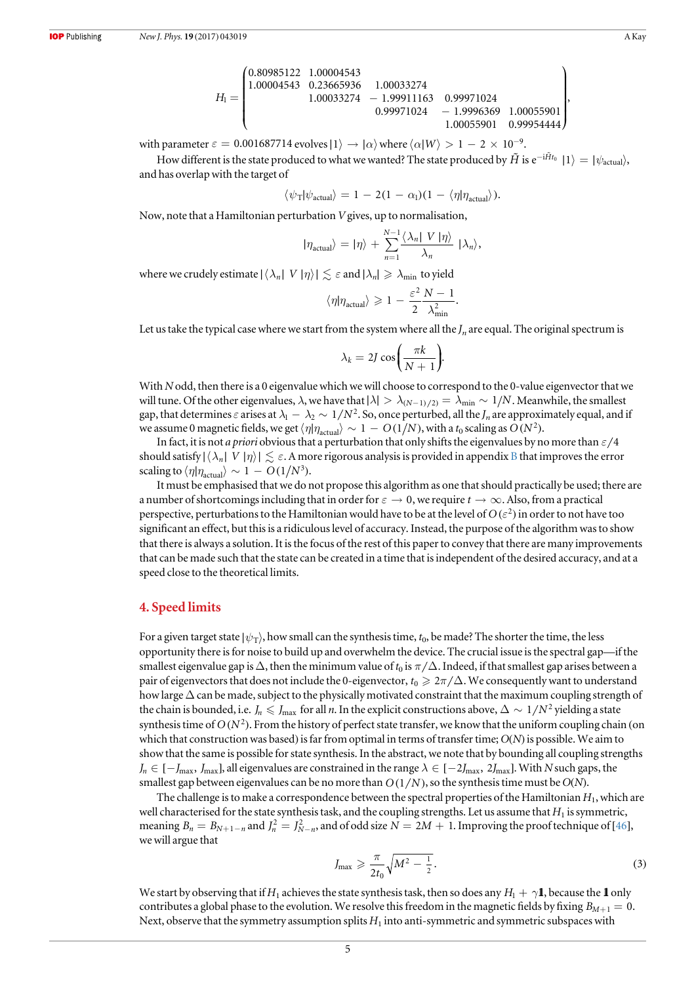$$
H_{\rm I}=\begin{pmatrix} 0.80985122&1.00004543&\\1.00004543&0.23665936&1.00033274\\&1.00033274&-1.99911163&0.99971024\\&0.99971024&-1.9996369&1.00055901\\&1.00055901&0.99954444 \end{pmatrix},
$$

<span id="page-5-0"></span>with parameter  $\varepsilon = 0.001687714$  evolves  $|1\rangle \rightarrow |\alpha\rangle$  where  $\langle \alpha | W \rangle > 1 - 2 \times 10^{-9}$ .

How different is the state produced to what we wanted? The state produced by  $\tilde{H}$  is  $e^{-i\tilde{H}t_0} |1\rangle = |\psi_{\text{actual}}\rangle$ , and has overlap with the target of

$$
\langle \psi_{\text{T}} | \psi_{\text{actual}} \rangle = 1 - 2(1 - \alpha_1)(1 - \langle \eta | \eta_{\text{actual}} \rangle).
$$

Now, note that a Hamiltonian perturbation Vgives, up to normalisation,

$$
|\eta_{\text{actual}}\rangle = |\eta\rangle + \sum_{n=1}^{N-1} \frac{\langle \lambda_n | V | \eta \rangle}{\lambda_n} |\lambda_n\rangle,
$$

where we crudely estimate  $|\langle \lambda_n | V | \eta \rangle| \lesssim \varepsilon$  and  $|\lambda_n| \geq \lambda_{\min}$  to yield

$$
\langle \eta | \eta_{\text{actual}} \rangle \ge 1 - \frac{\varepsilon^2}{2} \frac{N-1}{\lambda_{\text{min}}^2}.
$$

Let us take the typical case where we start from the system where all the  $J_n$  are equal. The original spectrum is

$$
\lambda_k = 2J\cos\bigg(\frac{\pi k}{N+1}\bigg).
$$

With N odd, then there is a 0 eigenvalue which we will choose to correspond to the 0-value eigenvector that we will tune. Of the other eigenvalues,  $\lambda$ , we have that  $|\lambda| > \lambda_{(N-1)/2} = \lambda_{\min} \sim 1/N$ . Meanwhile, the smallest gap, that determines  $\varepsilon$  arises at  $\lambda_1 - \lambda_2 \sim 1/N^2$ . So, once perturbed, all the  $J_n$  are approximately equal, and if we assume 0 magnetic fields, we get  $\langle \eta | \eta_{\text{actual}} \rangle \sim 1 - O(1/N)$ , with a t<sub>0</sub> scaling as  $O(N^2)$ .

In fact, it is not *a priori* obvious that a perturbation that only shifts the eigenvalues by no more than  $\varepsilon/4$ should satisfy  $|\langle \lambda_n | V | \eta \rangle| \le \varepsilon$ . A more rigorous analysis is provided in appendix [B](#page-13-0) that improves the error scaling to  $\langle \eta | \eta_{\text{actual}} \rangle \sim 1 - O(1/N^3)$ .

It must be emphasised that we do not propose this algorithm as one that should practically be used; there are a number of shortcomings including that in order for  $\varepsilon \to 0$ , we require  $t \to \infty$ . Also, from a practical perspective, perturbations to the Hamiltonian would have to be at the level of  $O(\varepsilon^2)$  in order to not have too significant an effect, but this is a ridiculous level of accuracy. Instead, the purpose of the algorithm was to show that there is always a solution. It is the focus of the rest of this paper to convey that there are many improvements that can be made such that the state can be created in a time that is independent of the desired accuracy, and at a speed close to the theoretical limits.

### 4. Speed limits

For a given target state  $|\psi_T\rangle$ , how small can the synthesis time,  $t_0$ , be made? The shorter the time, the less opportunity there is for noise to build up and overwhelm the device. The crucial issue is the spectral gap—if the smallest eigenvalue gap is  $\Delta$ , then the minimum value of  $t_0$  is  $\pi/\Delta$ . Indeed, if that smallest gap arises between a pair of eigenvectors that does not include the 0-eigenvector,  $t_0 \geq 2\pi/\Delta$ . We consequently want to understand how large  $\Delta$  can be made, subject to the physically motivated constraint that the maximum coupling strength of the chain is bounded, i.e.  $J_n \leqslant J_{\text{max}}$  for all *n*. In the explicit constructions above,  $\Delta \sim 1/N^2$  yielding a state synthesis time of  $O(N^2)$ . From the history of perfect state transfer, we know that the uniform coupling chain (on which that construction was based) is far from optimal in terms of transfer time;  $O(N)$  is possible. We aim to show that the same is possible for state synthesis. In the abstract, we note that by bounding all coupling strengths  $J_n \in [-J_{\text{max}}, J_{\text{max}}]$ , all eigenvalues are constrained in the range  $\lambda \in [-2J_{\text{max}}, 2J_{\text{max}}]$ . With N such gaps, the smallest gap between eigenvalues can be no more than  $O(1/N)$ , so the synthesis time must be  $O(N)$ .

The challenge is to make a correspondence between the spectral properties of the Hamiltonian  $H_1$ , which are well characterised for the state synthesis task, and the coupling strengths. Let us assume that  $H_1$  is symmetric, meaning  $B_n = B_{N+1-n}$  and  $J_n^2 = J_{N-n}^2$ , and of odd size  $N = 2M + 1$ . Improving the proof technique of [[46](#page-15-0)], we will argue that

$$
J_{\max} \geqslant \frac{\pi}{2t_0} \sqrt{M^2 - \frac{1}{2}}.
$$
\n<sup>(3)</sup>

We start by observing that if  $H_1$  achieves the state synthesis task, then so does any  $H_1 + \gamma \mathbf{1}$ , because the 1 only contributes a global phase to the evolution. We resolve this freedom in the magnetic fields by fixing  $B_{M+1} = 0$ . Next, observe that the symmetry assumption splits  $H_1$  into anti-symmetric and symmetric subspaces with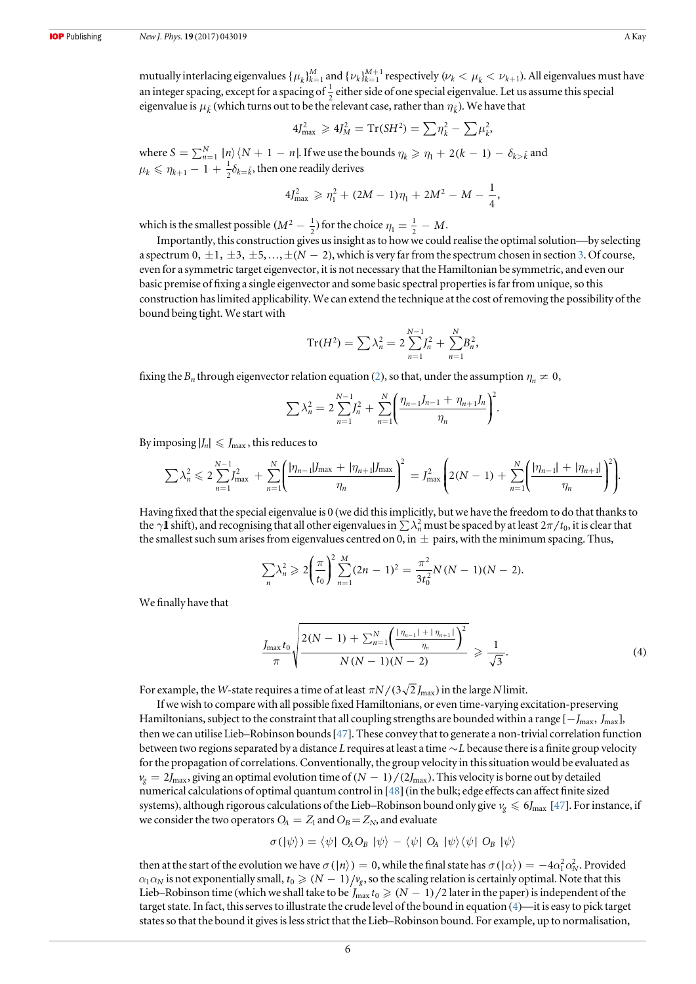<span id="page-6-0"></span>mutually interlacing eigenvalues  $\{\mu_k\}_{k=1}^M$  and  $\{\nu_k\}_{k=1}^{M+1}$  respectively  $(\nu_k < \mu_k < \nu_{k+1})$ . All eigenvalues must have an integer spacing, except for a spacing of  $\frac{1}{2}$  either side of one special eigenvalue. Let us assume this special eigenvalue is  $\mu_{\tilde{k}}$  (which turns out to be the relevant case, rather than  $\eta_{\tilde{k}}$ ). We have that

$$
4J_{\text{max}}^2 \geq 4J_M^2 = \text{Tr}(SH^2) = \sum \eta_k^2 - \sum \mu_k^2
$$

where  $S = \sum_{n=1}^{N} |n\rangle\langle N+1-n|$ . If we use the bounds  $\eta_k \geqslant \eta_1 + 2(k-1) - \delta_{k>\tilde{k}}$  and  $\mu_k \leqslant \eta_{k+1} - 1 + \frac{1}{2} \delta_{k=\tilde{k}}$ , then one readily derives

$$
4J_{\max}^2 \geqslant \eta_1^2 + (2M - 1)\eta_1 + 2M^2 - M - \frac{1}{4},
$$

which is the smallest possible  $(M^2 - \frac{1}{2})$  for the choice  $\eta_1 = \frac{1}{2} - M$ .

Importantly, this construction gives us insight as to how we could realise the optimal solution—by selecting a spectrum  $0, \pm 1, \pm 3, \pm 5, \ldots, \pm (N-2)$  $0, \pm 1, \pm 3, \pm 5, \ldots, \pm (N-2)$  $0, \pm 1, \pm 3, \pm 5, \ldots, \pm (N-2)$ , which is very far from the spectrum chosen in section 3. Of course, even for a symmetric target eigenvector, it is not necessary that the Hamiltonian be symmetric, and even our basic premise of fixing a single eigenvector and some basic spectral properties is far from unique, so this construction has limited applicability. We can extend the technique at the cost of removing the possibility of the bound being tight. We start with

$$
\mathrm{Tr}(H^{2}) = \sum \lambda_{n}^{2} = 2 \sum_{n=1}^{N-1} J_{n}^{2} + \sum_{n=1}^{N} B_{n}^{2},
$$

fixing the  $B_n$  through eigenvector relation equation ([2](#page-4-0)), so that, under the assumption  $\eta_n \neq 0$ ,

$$
\sum \lambda_n^2 = 2 \sum_{n=1}^{N-1} J_n^2 + \sum_{n=1}^{N} \left( \frac{\eta_{n-1} J_{n-1} + \eta_{n+1} J_n}{\eta_n} \right)^2.
$$

By imposing  $|J_n| \leq J_{\text{max}}$ , this reduces to

$$
\sum \lambda_n^2 \leqslant 2 \sum_{n=1}^{N-1} J_{\max}^2 + \sum_{n=1}^N \left( \frac{|\eta_{n-1}| J_{\max} + |\eta_{n+1}| J_{\max}}{\eta_n} \right)^2 = J_{\max}^2 \left( 2(N-1) + \sum_{n=1}^N \left( \frac{|\eta_{n-1}| + |\eta_{n+1}|}{\eta_n} \right)^2 \right).
$$

Having fixed that the special eigenvalue is 0 (we did this implicitly, but we have the freedom to do that thanks to the  $\gamma$  **l** shift), and recognising that all other eigenvalues in  $\sum \lambda_n^2$  must be spaced by at least  $2\pi/t_0$ , it is clear that the smallest such sum arises from eigenvalues centred on 0, in  $\pm$  pairs, with the minimum spacing. Thus,

$$
\sum_{n} \lambda_n^2 \geqslant 2 \bigg( \frac{\pi}{t_0} \bigg)^2 \sum_{n=1}^{M} (2n-1)^2 = \frac{\pi^2}{3t_0^2} N(N-1)(N-2).
$$

We finally have that

$$
\frac{J_{\max}t_0}{\pi} \sqrt{\frac{2(N-1) + \sum_{n=1}^{N} \left(\frac{|\eta_{n-1}| + |\eta_{n+1}|}{\eta_n}\right)^2}{N(N-1)(N-2)}} \geq \frac{1}{\sqrt{3}}.
$$
\n(4)

For example, the *W*-state requires a time of at least  $\pi N/(3\sqrt{2}J_{\text{max}})$  in the large *N* limit.

If we wish to compare with all possible fixed Hamiltonians, or even time-varying excitation-preserving Hamiltonians, subject to the constraint that all coupling strengths are bounded within a range  $[-J_{\text{max}}, J_{\text{max}}]$ , then we can utilise Lieb–Robinson bounds[[47](#page-15-0)]. These convey that to generate a non-trivial correlation function between two regions separated by a distance L requires at least a time ~*L* because there is a finite group velocity for the propagation of correlations. Conventionally, the group velocity in this situation would be evaluated as  $v_g = 2 J_{\text{max}}$ , giving an optimal evolution time of  $(N - 1)/(2 J_{\text{max}})$ . This velocity is borne out by detailed numerical calculations of optimal quantum control in [[48](#page-15-0)](in the bulk; edge effects can affect finite sized systems), although rigorous calculations of the Lieb–Robinson bound only give  $v_g \le 6J_{\text{max}}$  [[47](#page-15-0)]. For instance, if we consider the two operators  $O_A = Z_1$  and  $O_B = Z_N$ , and evaluate

$$
\sigma(\ket{\psi}) = \bra{\psi} \mathsf{O}_A \mathsf{O}_B \ket{\psi} - \bra{\psi} \mathsf{O}_A \ket{\psi} \bra{\psi} \mathsf{O}_B \ket{\psi}
$$

then at the start of the evolution we have  $\sigma(|n\rangle) = 0$ , while the final state has  $\sigma(|\alpha\rangle) = -4\alpha_1^2\alpha_N^2$ . Provided  $\alpha_1\alpha_N$  is not exponentially small,  $t_0 \geq (N-1)/v_g$ , so the scaling relation is certainly optimal. Note that this Lieb–Robinson time (which we shall take to be  $J_{\text{max}} t_0 \geq (N-1)/2$  later in the paper) is independent of the target state. In fact, this serves to illustrate the crude level of the bound in equation (4)—it is easy to pick target states so that the bound it gives is less strict that the Lieb–Robinson bound. For example, up to normalisation,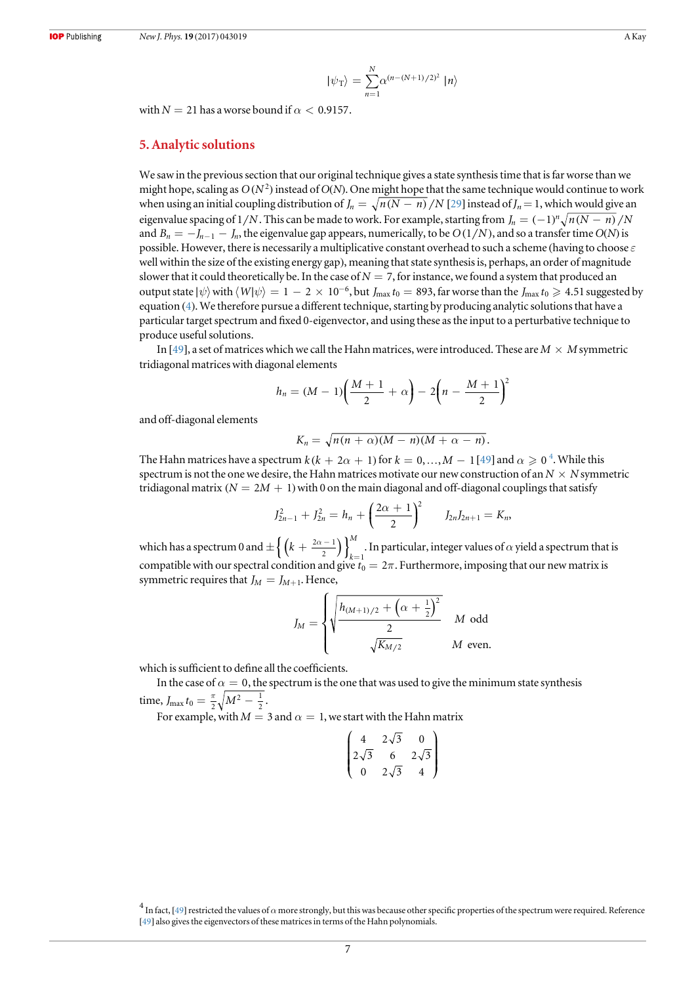$$
|\psi_{\rm T}\rangle = \sum_{n=1}^{N} \alpha^{(n-(N+1)/2)^2} |n\rangle
$$

<span id="page-7-0"></span>with  $N = 21$  has a worse bound if  $\alpha < 0.9157$ .

#### 5. Analytic solutions

We saw in the previous section that our original technique gives a state synthesis time that is far worse than we might hope, scaling as  $O(N^2)$  instead of  $O(N)$ . One might hope that the same technique would continue to work when using an initial coupling distribution of  $J_n = \sqrt{n(N - n)}/N$  [[29](#page-15-0)] instead of  $J_n = 1$ , which would give an eigenvalue spacing of  $1/N$ . This can be made to work. For example, starting from  $J_n = (-1)^n \sqrt{n(N - n)}/N$ and  $B_n = -J_{n-1} - J_n$ , the eigenvalue gap appears, numerically, to be  $O(1/N)$ , and so a transfer time  $O(N)$  is possible. However, there is necessarily a multiplicative constant overhead to such a scheme (having to choose  $\varepsilon$ well within the size of the existing energy gap), meaning that state synthesis is, perhaps, an order of magnitude slower that it could theoretically be. In the case of  $N = 7$ , for instance, we found a system that produced an output state  $|\psi\rangle$  with  $\langle W|\psi\rangle = 1 - 2 \times 10^{-6}$ , but *J*<sub>max</sub>  $t_0 = 893$ , far worse than the *J*<sub>max</sub>  $t_0 \ge 4.51$  suggested by equation ([4](#page-6-0)). We therefore pursue a different technique, starting by producing analytic solutions that have a particular target spectrum and fixed 0-eigenvector, and using these as the input to a perturbative technique to produce useful solutions.

In [[49](#page-15-0)], a set of matrices which we call the Hahn matrices, were introduced. These are  $M \times M$  symmetric tridiagonal matrices with diagonal elements

$$
h_n = (M-1)\left(\frac{M+1}{2} + \alpha\right) - 2\left(n - \frac{M+1}{2}\right)^2
$$

and off-diagonal elements

$$
K_n = \sqrt{n(n+\alpha)(M-n)(M+\alpha-n)}.
$$

The Hahn matrices have a spectrum  $k$  ( $k+2\alpha+1$ ) for  $k=0,...,M-1$  [[49](#page-15-0)] and  $\alpha\geqslant 0$   $^{4}.$  While this spectrum is not the one we desire, the Hahn matrices motivate our new construction of an  $N \times N$  symmetric tridiagonal matrix  $(N = 2M + 1)$  with 0 on the main diagonal and off-diagonal couplings that satisfy

$$
J_{2n-1}^2 + J_{2n}^2 = h_n + \left(\frac{2\alpha + 1}{2}\right)^2 \qquad J_{2n}J_{2n+1} = K_n,
$$

which has a spectrum 0 and  $\pm \left\{ \left( k + \frac{2\alpha - 1}{2} \right) \right\}_{k=1}^{M}$  $2\alpha - 1$ <sup>M</sup>  $\left\{\frac{-1}{2}\right\}_{k=1}$ . In particular, integer values of  $\alpha$  yield a spectrum that is compatible with our spectral condition and give  $t_0 = 2\pi$ . Furthermore, imposing that our new matrix is symmetric requires that  $J_M = J_{M+1}$ . Hence,

$$
J_M = \begin{cases} \sqrt{\frac{h_{(M+1)/2} + \left(\alpha + \frac{1}{2}\right)^2}{2}} & M \text{ odd} \\ \sqrt{\frac{K_{M/2}}{2}} & M \text{ even.} \end{cases}
$$

which is sufficient to define all the coefficients.

In the case of  $\alpha = 0$ , the spectrum is the one that was used to give the minimum state synthesis time,  $J_{\text{max}} t_0 = \frac{\pi}{2} \sqrt{M^2 - \frac{1}{2}}$ .

For example, with  $M = 3$  and  $\alpha = 1$ , we start with the Hahn matrix

$$
\begin{pmatrix}\n4 & 2\sqrt{3} & 0 \\
2\sqrt{3} & 6 & 2\sqrt{3} \\
0 & 2\sqrt{3} & 4\n\end{pmatrix}
$$

 $^4$  In fact, [[49](#page-15-0)] restricted the values of  $\alpha$  more strongly, but this was because other specific properties of the spectrum were required. Reference [[49](#page-15-0)] also gives the eigenvectors of these matrices in terms of the Hahn polynomials.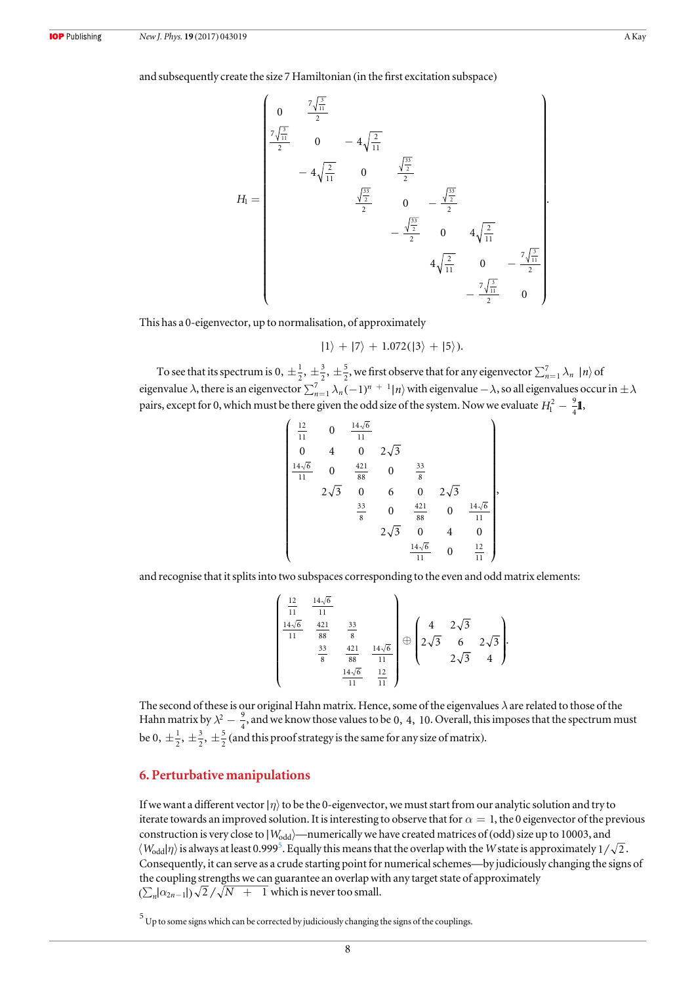<span id="page-8-0"></span>and subsequently create the size 7 Hamiltonian (in the first excitation subspace)

$$
H_{1} = \begin{pmatrix} 0 & \frac{7\sqrt{\frac{3}{11}}}{2} \\ \frac{7\sqrt{\frac{3}{11}}}{2} & 0 & -4\sqrt{\frac{2}{11}} \\ & -4\sqrt{\frac{2}{11}} & 0 & \frac{\sqrt{\frac{33}{2}}}{2} \\ & & \frac{\sqrt{\frac{33}{2}}}{2} & 0 & -\frac{\sqrt{\frac{33}{2}}}{2} \\ & & & -\frac{\sqrt{\frac{33}{2}}}{2} & 0 & 4\sqrt{\frac{2}{11}} \\ & & & & 4\sqrt{\frac{2}{11}} & 0 & -\frac{7\sqrt{\frac{3}{11}}}{2} \\ & & & & & -\frac{7\sqrt{\frac{3}{11}}}{2} & 0 \end{pmatrix}.
$$

This has a 0-eigenvector, up to normalisation, of approximately

$$
|1\rangle + |7\rangle + 1.072(|3\rangle + |5\rangle).
$$

To see that its spectrum is 0,  $\pm \frac{1}{2}$ ,  $\pm \frac{3}{2}$ ,  $\pm$ 3 2 5  $\frac{5}{2}$ , we first observe that for any eigenvector  $\sum_{n=1}^{7} \lambda_n |n\rangle$  of eigenvalue  $\lambda$ , there is an eigenvector  $\sum_{n=1}^7 \lambda_n (-1)^{n+1} |n\rangle$  with eigenvalue  $-\lambda$ , so all eigenvalues occur in  $\pm \lambda$ pairs, except for 0, which must be there given the odd size of the system. Now we evaluate  $H_1^2 - \frac{9}{4}$ **I**,

$$
\begin{pmatrix}\n\frac{12}{11} & 0 & \frac{14\sqrt{6}}{11} \\
0 & 4 & 0 & 2\sqrt{3} \\
\frac{14\sqrt{6}}{11} & 0 & \frac{421}{88} & 0 & \frac{33}{8} \\
2\sqrt{3} & 0 & 6 & 0 & 2\sqrt{3} \\
\frac{33}{8} & 0 & \frac{421}{88} & 0 & \frac{14\sqrt{6}}{11} \\
2\sqrt{3} & 0 & 4 & 0 \\
\frac{14\sqrt{6}}{11} & 0 & \frac{12}{11}\n\end{pmatrix}
$$

,

and recognise that it splits into two subspaces corresponding to the even and odd matrix elements:

$$
\begin{pmatrix}\n\frac{12}{11} & \frac{14\sqrt{6}}{11} & & & & \\
\frac{14\sqrt{6}}{11} & \frac{421}{88} & \frac{33}{8} & & \\
\frac{33}{8} & \frac{421}{88} & \frac{14\sqrt{6}}{11} & \\
\frac{14\sqrt{6}}{11} & \frac{12}{11}\n\end{pmatrix} \oplus \begin{pmatrix}\n4 & 2\sqrt{3} & & & \\
2\sqrt{3} & 6 & 2\sqrt{3} & \\
2\sqrt{3} & 4 & \n\end{pmatrix}
$$

The second of these is our original Hahn matrix. Hence, some of the eigenvalues  $\lambda$  are related to those of the Hahn matrix by  $\lambda^2 - \frac{9}{4}$ , and we know those values to be 0, 4, 10. Overall, this imposes that the spectrum must be 0,  $\pm \frac{1}{2}$ ,  $\pm \frac{3}{2}$ ,  $\pm$ 3 2  $\frac{5}{2}$  (and this proof strategy is the same for any size of matrix).

# 6. Perturbative manipulations

If we want a different vector |*η*) to be the 0-eigenvector, we must start from our analytic solution and try to iterate towards an improved solution. It is interesting to observe that for  $\alpha = 1$ , the 0 eigenvector of the previous construction is very close to |  $W_{\text{odd}}$ —numerically we have created matrices of (odd) size up to 10003, and  $\langle W_{\rm odd}| \eta\rangle$  is always at least 0.999<sup>5</sup>. Equally this means that the overlap with the W state is approximately  $1/\sqrt{2}$ . Consequently, it can serve as a crude starting point for numerical schemes—by judiciously changing the signs of the coupling strengths we can guarantee an overlap with any target state of approximately  $(\sum_{n} |\alpha_{2n-1}|) \sqrt{2} / \sqrt{N+1}$  which is never too small.

 $<sup>5</sup>$  Up to some signs which can be corrected by judiciously changing the signs of the couplings.</sup>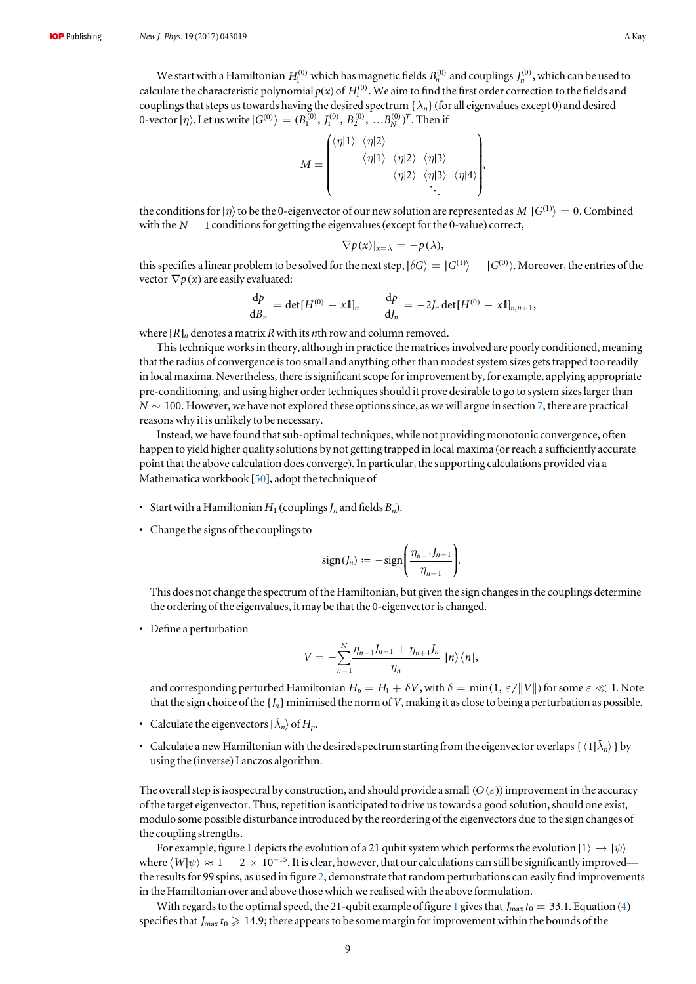We start with a Hamiltonian  $H_1^{(0)}$  which has magnetic fields  $B_n^{(0)}$  and couplings  $J_n^{(0)}$ , which can be used to calculate the characteristic polynomial  $p(x)$  of  $H_1^{(0)}$ . We aim to find the first order correction to the fields and couplings that steps us towards having the desired spectrum { $\lambda_n$ } (for all eigenvalues except 0) and desired 0-vector  $|\eta\rangle$ . Let us write  $|G^{(0)}\rangle = (B_1^{(0)},\,I_1^{(0)},\,B_2^{(0)},\,...B_N^{(0)})^T.$  Then if

$$
M = \begin{pmatrix} \langle \eta | 1 \rangle & \langle \eta | 2 \rangle & & \\ & \langle \eta | 1 \rangle & \langle \eta | 2 \rangle & \langle \eta | 3 \rangle & \\ & & \langle \eta | 2 \rangle & \langle \eta | 3 \rangle & \langle \eta | 4 \rangle \\ & & & \ddots & \ddots \end{pmatrix},
$$

the conditions for  $|\eta\rangle$  to be the 0-eigenvector of our new solution are represented as *M*  $|G^{(1)}\rangle = 0$ . Combined with the  $N-1$  conditions for getting the eigenvalues (except for the 0-value) correct,

$$
\underline{\nabla} p(x)|_{x=\lambda} = -p(\lambda),
$$

this specifies a linear problem to be solved for the next step,  $|\delta G\rangle = |G^{(1)}\rangle - |G^{(0)}\rangle$ . Moreover, the entries of the vector  $\nabla p(x)$  are easily evaluated:

$$
\frac{\mathrm{d}p}{\mathrm{d}B_n} = \det[H^{(0)} - x\mathbf{1}]_n \qquad \frac{\mathrm{d}p}{\mathrm{d}J_n} = -2J_n \det[H^{(0)} - x\mathbf{1}]_{n,n+1},
$$

where  $[R]_n$  denotes a matrix R with its nth row and column removed.

This technique works in theory, although in practice the matrices involved are poorly conditioned, meaning that the radius of convergence is too small and anything other than modest system sizes gets trapped too readily in local maxima. Nevertheless, there is significant scope for improvement by, for example, applying appropriate pre-conditioning, and using higher order techniques should it prove desirable to go to system sizes larger than  $N \sim 100$ . However, we have not explored these options since, as we will argue in section [7](#page-10-0), there are practical reasons why it is unlikely to be necessary.

Instead, we have found that sub-optimal techniques, while not providing monotonic convergence, often happen to yield higher quality solutions by not getting trapped in local maxima (or reach a sufficiently accurate point that the above calculation does converge). In particular, the supporting calculations provided via a Mathematica workbook [[50](#page-15-0)], adopt the technique of

- Start with a Hamiltonian  $H_1$  (couplings  $J_n$  and fields  $B_n$ ).
- Change the signs of the couplings to

$$
sign(J_n) := -sign\left(\frac{\eta_{n-1}J_{n-1}}{\eta_{n+1}}\right).
$$

This does not change the spectrum of the Hamiltonian, but given the sign changes in the couplings determine the ordering of the eigenvalues, it may be that the 0-eigenvector is changed.

• Define a perturbation

$$
V = -\sum_{n=1}^{N} \frac{\eta_{n-1} J_{n-1} + \eta_{n+1} J_n}{\eta_n} \, |\, n \rangle \, \langle n \, |\,
$$

and corresponding perturbed Hamiltonian  $H_p = H_1 + \delta V$ , with  $\delta = \min(1, \varepsilon / ||V||)$  for some  $\varepsilon \ll 1$ . Note that the sign choice of the  $\{J_n\}$  minimised the norm of V, making it as close to being a perturbation as possible.

- Calculate the eigenvectors  $|\tilde{\lambda}_n\rangle$  of  $H_n$ .
- Calculate a new Hamiltonian with the desired spectrum starting from the eigenvector overlaps {  $\langle 1|\tilde{\lambda}_n\rangle$  } by using the (inverse) Lanczos algorithm.

The overall step is isospectral by construction, and should provide a small  $(O(\varepsilon))$  improvement in the accuracy of the target eigenvector. Thus, repetition is anticipated to drive us towards a good solution, should one exist, modulo some possible disturbance introduced by the reordering of the eigenvectors due to the sign changes of the coupling strengths.

For example, figure [1](#page-10-0) depicts the evolution of a 21 qubit system which performs the evolution  $|1\rangle \rightarrow |\psi\rangle$ where  $\langle W|\psi\rangle \approx 1-2\times 10^{-15}$ . It is clear, however, that our calculations can still be significantly improvedthe results for 99 spins, as used in figure [2](#page-10-0), demonstrate that random perturbations can easily find improvements in the Hamiltonian over and above those which we realised with the above formulation.

With regards to the optimal speed, the 2[1](#page-10-0)-qubit example of figure 1 gives that  $J_{\text{max}} t_0 = 33.1$ . Equation ([4](#page-6-0)) specifies that  $J_{\text{max}} t_0 \geq 14.9$ ; there appears to be some margin for improvement within the bounds of the

9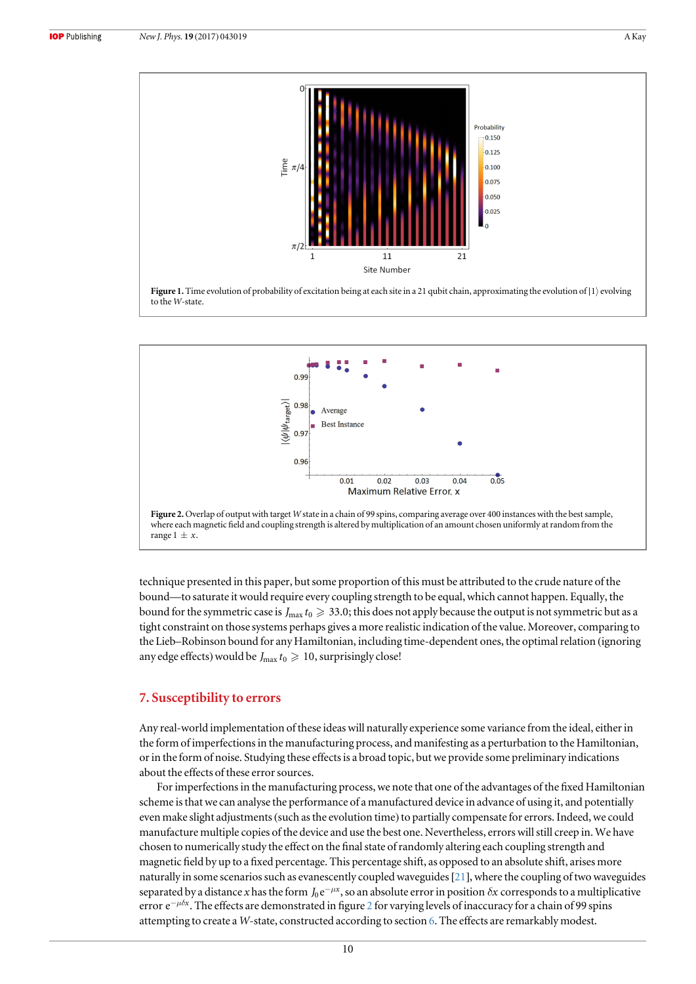<span id="page-10-0"></span>



Site Number



technique presented in this paper, but some proportion of this must be attributed to the crude nature of the bound—to saturate it would require every coupling strength to be equal, which cannot happen. Equally, the bound for the symmetric case is  $J_{\text{max}} t_0 \geq 33.0$ ; this does not apply because the output is not symmetric but as a tight constraint on those systems perhaps gives a more realistic indication of the value. Moreover, comparing to the Lieb–Robinson bound for any Hamiltonian, including time-dependent ones, the optimal relation (ignoring any edge effects) would be  $J_{\text{max}} t_0 \geq 10$ , surprisingly close!

## 7. Susceptibility to errors

Any real-world implementation of these ideas will naturally experience some variance from the ideal, either in the form of imperfections in the manufacturing process, and manifesting as a perturbation to the Hamiltonian, or in the form of noise. Studying these effects is a broad topic, but we provide some preliminary indications about the effects of these error sources.

For imperfections in the manufacturing process, we note that one of the advantages of the fixed Hamiltonian scheme is that we can analyse the performance of a manufactured device in advance of using it, and potentially even make slight adjustments(such as the evolution time) to partially compensate for errors. Indeed, we could manufacture multiple copies of the device and use the best one. Nevertheless, errors will still creep in. We have chosen to numerically study the effect on the final state of randomly altering each coupling strength and magnetic field by up to a fixed percentage. This percentage shift, as opposed to an absolute shift, arises more naturally in some scenarios such as evanescently coupled waveguides[[21](#page-15-0)], where the coupling of two waveguides separated by a distance x has the form  $J_0 e^{-\mu x}$ , so an absolute error in position  $\delta x$  corresponds to a multiplicative error  $e^{-\mu\delta x}$ . The effects are demonstrated in figure 2 for varying levels of inaccuracy for a chain of 99 spins attempting to create a W-state, constructed according to section [6.](#page-8-0) The effects are remarkably modest.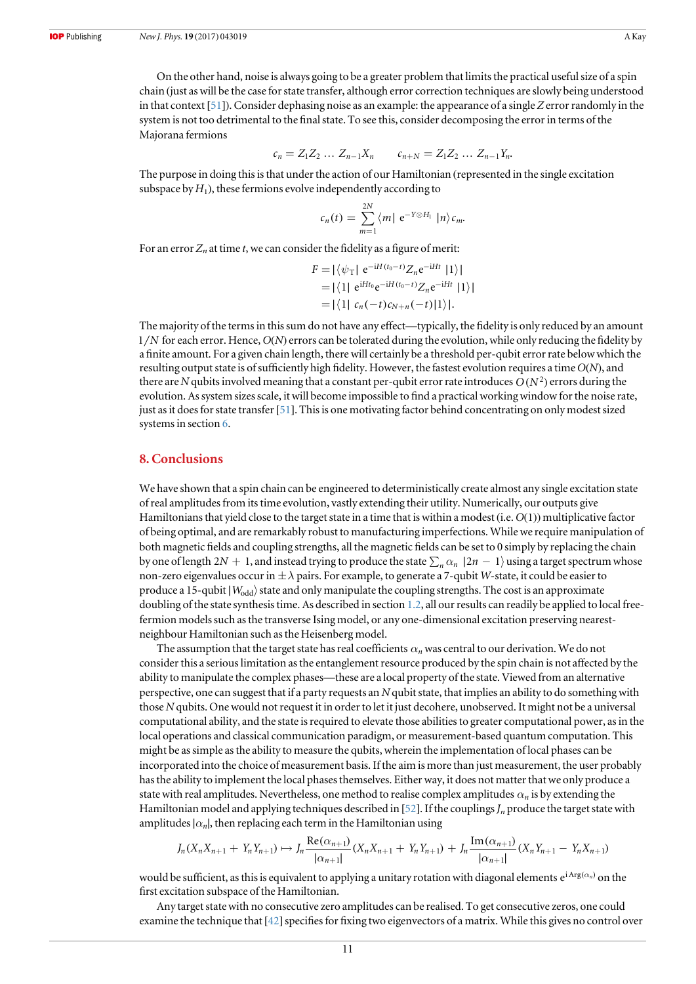On the other hand, noise is always going to be a greater problem that limits the practical useful size of a spin chain (just as will be the case for state transfer, although error correction techniques are slowly being understood in that context [[51](#page-15-0)]). Consider dephasing noise as an example: the appearance of a single Z error randomly in the system is not too detrimental to the final state. To see this, consider decomposing the error in terms of the Majorana fermions

$$
c_n = Z_1 Z_2 \dots Z_{n-1} X_n \qquad c_{n+N} = Z_1 Z_2 \dots Z_{n-1} Y_n.
$$

The purpose in doing this is that under the action of our Hamiltonian (represented in the single excitation subspace by  $H_1$ ), these fermions evolve independently according to

$$
c_n(t) = \sum_{m=1}^{2N} \langle m | e^{-Y \otimes H_1} | n \rangle c_m.
$$

For an error  $Z_n$  at time t, we can consider the fidelity as a figure of merit:

$$
F = |\langle \psi_T | e^{-iH(t_0 - t)} Z_n e^{-iHt} | 1 \rangle|
$$
  
= |\langle 1 | e^{iHt\_0} e^{-iH(t\_0 - t)} Z\_n e^{-iHt} | 1 \rangle|  
= |\langle 1 | c\_n(-t) c\_{N+n}(-t) | 1 \rangle|.

The majority of the terms in this sum do not have any effect—typically, the fidelity is only reduced by an amount 1 *N* for each error. Hence, O(N) errors can be tolerated during the evolution, while only reducing the fidelity by a finite amount. For a given chain length, there will certainly be a threshold per-qubit error rate below which the resulting output state is of sufficiently high fidelity. However, the fastest evolution requires a time O(N), and there are N qubits involved meaning that a constant per-qubit error rate introduces  $O(N^2)$  errors during the evolution. As system sizes scale, it will become impossible to find a practical working window for the noise rate, just as it does for state transfer[[51](#page-15-0)]. This is one motivating factor behind concentrating on only modest sized systems in section [6.](#page-8-0)

## 8. Conclusions

We have shown that a spin chain can be engineered to deterministically create almost any single excitation state of real amplitudes from its time evolution, vastly extending their utility. Numerically, our outputs give Hamiltonians that yield close to the target state in a time that is within a modest(i.e. O(1)) multiplicative factor of being optimal, and are remarkably robust to manufacturing imperfections. While we require manipulation of both magnetic fields and coupling strengths, all the magnetic fields can be set to 0 simply by replacing the chain by one of length 2N + 1, and instead trying to produce the state  $\sum_{n} \alpha_n |2n - 1\rangle$  using a target spectrum whose non-zero eigenvalues occur in  $\pm \lambda$  pairs. For example, to generate a 7-qubit W-state, it could be easier to produce a 15-qubit | *W*<sub>odd</sub>} state and only manipulate the coupling strengths. The cost is an approximate doubling of the state synthesis time. As described in section [1.2](#page-3-0), all our results can readily be applied to local freefermion models such as the transverse Ising model, or any one-dimensional excitation preserving nearestneighbour Hamiltonian such as the Heisenberg model.

The assumption that the target state has real coefficients  $\alpha_n$  was central to our derivation. We do not consider this a serious limitation as the entanglement resource produced by the spin chain is not affected by the ability to manipulate the complex phases—these are a local property of the state. Viewed from an alternative perspective, one can suggest that if a party requests an N qubit state, that implies an ability to do something with those N qubits. One would not request it in order to let it just decohere, unobserved. It might not be a universal computational ability, and the state is required to elevate those abilities to greater computational power, as in the local operations and classical communication paradigm, or measurement-based quantum computation. This might be as simple as the ability to measure the qubits, wherein the implementation of local phases can be incorporated into the choice of measurement basis. If the aim is more than just measurement, the user probably has the ability to implement the local phases themselves. Either way, it does not matter that we only produce a state with real amplitudes. Nevertheless, one method to realise complex amplitudes  $\alpha_n$  is by extending the Hamiltonian model and applying techniques described in [[52](#page-15-0)]. If the couplings  $J_n$  produce the target state with amplitudes  $| \alpha_n |$ , then replacing each term in the Hamiltonian using

$$
J_n(X_nX_{n+1} + Y_nY_{n+1}) \mapsto J_n \frac{\text{Re}(\alpha_{n+1})}{|\alpha_{n+1}|}(X_nX_{n+1} + Y_nY_{n+1}) + J_n \frac{\text{Im}(\alpha_{n+1})}{|\alpha_{n+1}|}(X_nY_{n+1} - Y_nX_{n+1})
$$

would be sufficient, as this is equivalent to applying a unitary rotation with diagonal elements  $e^{i Arg(\alpha_n)}$  on the first excitation subspace of the Hamiltonian.

Any target state with no consecutive zero amplitudes can be realised. To get consecutive zeros, one could examine the technique that  $[42]$  $[42]$  $[42]$  specifies for fixing two eigenvectors of a matrix. While this gives no control over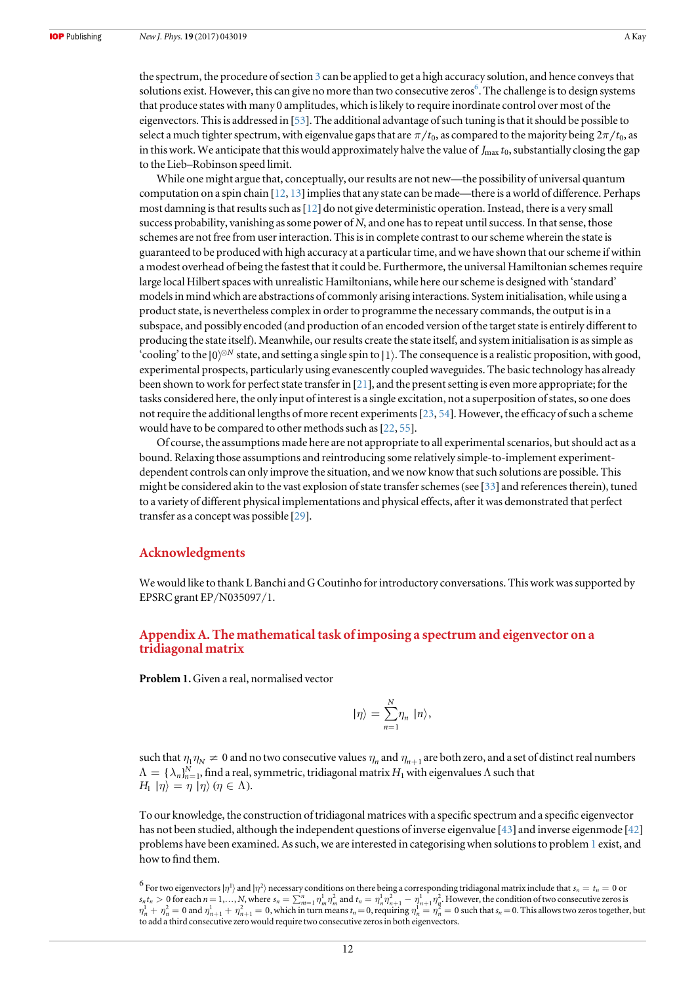<span id="page-12-0"></span>the spectrum, the procedure of section [3](#page-4-0) can be applied to get a high accuracy solution, and hence conveys that solutions exist. However, this can give no more than two consecutive zeros  $\hat{\text{o}}$ . The challenge is to design systems that produce states with many 0 amplitudes, which is likely to require inordinate control over most of the eigenvectors. This is addressed in [[53](#page-15-0)]. The additional advantage of such tuning is that it should be possible to select a much tighter spectrum, with eigenvalue gaps that are  $\pi/t_0$ , as compared to the majority being  $2\pi/t_0$ , as in this work. We anticipate that this would approximately halve the value of  $J_{\rm max} t_0$ , substantially closing the gap to the Lieb–Robinson speed limit.

While one might argue that, conceptually, our results are not new—the possibility of universal quantum computation on a spin chain  $[12, 13]$  $[12, 13]$  $[12, 13]$  $[12, 13]$  $[12, 13]$  implies that any state can be made—there is a world of difference. Perhaps most damning is that results such as[[12](#page-14-0)] do not give deterministic operation. Instead, there is a very small success probability, vanishing as some power of  $N$ , and one has to repeat until success. In that sense, those schemes are not free from user interaction. This is in complete contrast to our scheme wherein the state is guaranteed to be produced with high accuracy at a particular time, and we have shown that our scheme if within a modest overhead of being the fastest that it could be. Furthermore, the universal Hamiltonian schemes require large local Hilbert spaces with unrealistic Hamiltonians, while here our scheme is designed with 'standard' models in mind which are abstractions of commonly arising interactions. System initialisation, while using a product state, is nevertheless complex in order to programme the necessary commands, the output is in a subspace, and possibly encoded (and production of an encoded version of the target state is entirely different to producing the state itself). Meanwhile, our results create the state itself, and system initialisation is as simple as 'cooling' to the |0)<sup>⊗N</sup> state, and setting a single spin to |1). The consequence is a realistic proposition, with good, experimental prospects, particularly using evanescently coupled waveguides. The basic technology has already been shown to work for perfect state transfer in [[21](#page-15-0)], and the present setting is even more appropriate; for the tasks considered here, the only input of interest is a single excitation, not a superposition of states, so one does not require the additional lengths of more recent experiments[[23](#page-15-0), [54](#page-15-0)]. However, the efficacy of such a scheme would have to be compared to other methods such as [[22,](#page-15-0) [55](#page-15-0)].

Of course, the assumptions made here are not appropriate to all experimental scenarios, but should act as a bound. Relaxing those assumptions and reintroducing some relatively simple-to-implement experimentdependent controls can only improve the situation, and we now know that such solutions are possible. This might be considered akin to the vast explosion of state transfer schemes (see [[33](#page-15-0)] and references therein), tuned to a variety of different physical implementations and physical effects, after it was demonstrated that perfect transfer as a concept was possible [[29](#page-15-0)].

## Acknowledgments

We would like to thank L Banchi and G Coutinho for introductory conversations. This work was supported by EPSRC grant EP/N035097/1.

## Appendix A. The mathematical task of imposing a spectrum and eigenvector on a tridiagonal matrix

Problem 1.Given a real, normalised vector

$$
|\eta\rangle = \sum_{n=1}^{N} \eta_n |n\rangle,
$$

such that  $\eta_1 \eta_N \neq 0$  and no two consecutive values  $\eta_n$  and  $\eta_{n+1}$  are both zero, and a set of distinct real numbers  $\Lambda = \{\lambda_n\}_{n=1}^N,$  find a real, symmetric, tridiagonal matrix  $H_1$  with eigenvalues  $\Lambda$  such that  $H_1 | \eta \rangle = \eta | \eta \rangle (\eta \in \Lambda).$ 

To our knowledge, the construction of tridiagonal matrices with a specific spectrum and a specific eigenvector has not been studied, although the independent questions of inverse eigenvalue [[43](#page-15-0)] and inverse eigenmode [[42](#page-15-0)] problems have been examined. As such, we are interested in categorising when solutions to problem 1 exist, and how to find them.

 $^6$  For two eigenvectors  $|\eta^1\rangle$  and  $|\eta^2\rangle$  necessary conditions on there being a corresponding tridiagonal matrix include that  $s_n=t_n=0$  or  $s_n t_n > 0$  for each  $n = 1,..., N$ , where  $s_n = \sum_{m=1}^n \eta_m^1 \eta_m^2$  and  $t_n = \eta_n^1 \eta_{n+1}^2 - \eta_{n+1}^1 \eta_n^2$ . However, the condition of two consecutive zeros is  $\eta_n^1 + \eta_n^2 = 0$  and  $\eta_{n+1}^1 + \eta_{n+1}^2 = 0$ , which in turn means  $t_n = 0$ , requiring  $\eta_n^1 = \eta_n^2 = 0$  such that  $s_n = 0$ . This allows two zeros together, but to add a third consecutive zero would require two consecutive zeros in both eigenvectors.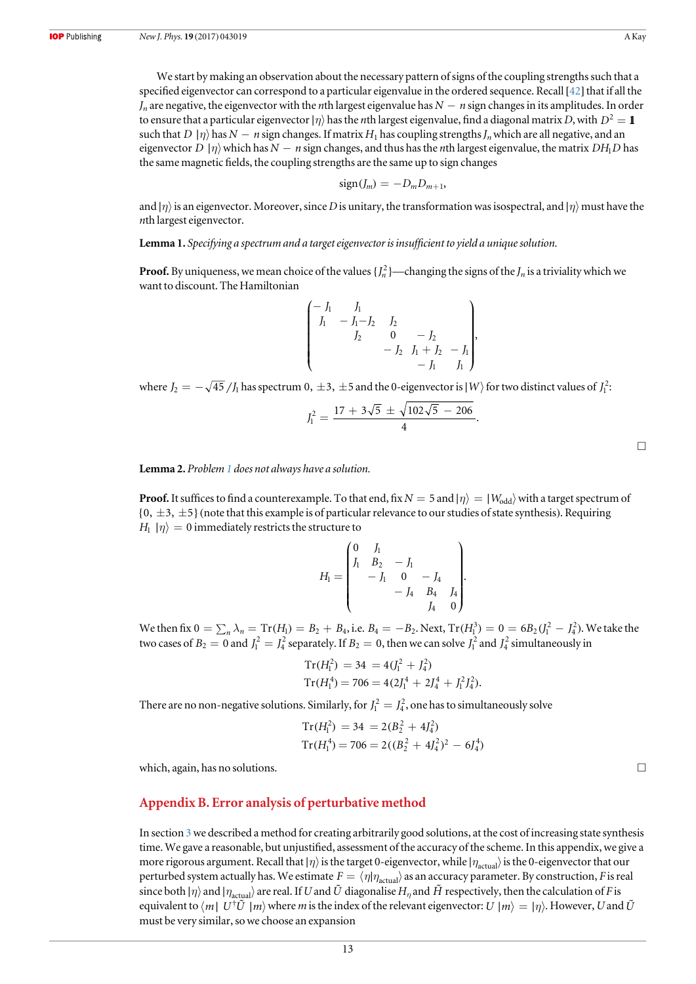<span id="page-13-0"></span>We start by making an observation about the necessary pattern of signs of the coupling strengths such that a specified eigenvector can correspond to a particular eigenvalue in the ordered sequence. Recall[[42](#page-15-0)] that if all the  $J_n$  are negative, the eigenvector with the *n*th largest eigenvalue has  $N - n$  sign changes in its amplitudes. In order to ensure that a particular eigenvector  $|\eta\rangle$  has the *n*th largest eigenvalue, find a diagonal matrix D, with  $D^2 = 1$ such that *D*  $|\eta\rangle$  has N − *n* sign changes. If matrix H<sub>1</sub> has coupling strengths  $J_n$  which are all negative, and an eigenvector *D* |*n*) which has  $N - n$  sign changes, and thus has the *n*th largest eigenvalue, the matrix *DH*<sub>1</sub>*D* has the same magnetic fields, the coupling strengths are the same up to sign changes

$$
sign(J_m) = -D_m D_{m+1},
$$

and  $|\eta\rangle$  is an eigenvector. Moreover, since D is unitary, the transformation was isospectral, and  $|\eta\rangle$  must have the nth largest eigenvector.

Lemma 1. Specifying a spectrum and a target eigenvector is insufficient to yield a unique solution.

**Proof.** By uniqueness, we mean choice of the values  $\{J_n^2\}$ —changing the signs of the  $J_n$  is a triviality which we want to discount. The Hamiltonian

$$
\begin{pmatrix}\n-J_1 & J_1 & & & \\
J_1 & -J_1-J_2 & J_2 & & \\
& J_2 & 0 & -J_2 & \\
& & -J_2 & J_1+J_2 & -J_1 \\
& & & -J_1 & J_1\n\end{pmatrix},
$$

where  $J_2=-\sqrt{45}\,/J_1$  has spectrum  $0,\,\pm 3,\,\pm 5$  and the  $0$ -eigenvector is  $\ket{W}$  for two distinct values of  $J_1^2$ :

$$
J_1^2 = \frac{17 + 3\sqrt{5} \pm \sqrt{102\sqrt{5} - 206}}{4}.
$$

Lemma 2. Problem [1](#page-12-0) does not always have a solution.

**Proof.** It suffices to find a counterexample. To that end, fix  $N = 5$  and  $|\eta\rangle = |W_{odd}\rangle$  with a target spectrum of  $\{0, \pm 3, \pm 5\}$  (note that this example is of particular relevance to our studies of state synthesis). Requiring  $H_1 | \eta \rangle = 0$  immediately restricts the structure to

$$
H_1 = \begin{pmatrix} 0 & J_1 & & \\ J_1 & B_2 & -J_1 & & \\ & -J_1 & 0 & -J_4 & \\ & & -J_4 & B_4 & J_4 \\ & & & J_4 & 0 \end{pmatrix}.
$$

We then fix  $0 = \sum_n \lambda_n = \text{Tr}(H_1) = B_2 + B_4$ , i.e.  $B_4 = -B_2$ . Next,  $\text{Tr}(H_1^3) = 0 = 6B_2 (J_1^2 - J_4^2)$ . We take the two cases of  $B_2 = 0$  and  $J_1^2 = J_4^2$  separately. If  $B_2 = 0$ , then we can solve  $J_1^2$  and  $J_4^2$  simultaneously in

$$
Tr(H_1^2) = 34 = 4(J_1^2 + J_4^2)
$$
  
\n
$$
Tr(H_1^4) = 706 = 4(2J_1^4 + 2J_4^4 + J_1^2J_4^2).
$$

There are no non-negative solutions. Similarly, for  $J_1^2 = J_4^2$ , one has to simultaneously solve

$$
Tr(H_1^2) = 34 = 2(B_2^2 + 4J_4^2)
$$
  
\n
$$
Tr(H_1^4) = 706 = 2((B_2^2 + 4J_4^2)^2 - 6J_4^4)
$$

which, again, has no solutions.  $\Box$ 

## Appendix B. Error analysis of perturbative method

In section [3](#page-4-0) we described a method for creating arbitrarily good solutions, at the cost of increasing state synthesis time. We gave a reasonable, but unjustified, assessment of the accuracy of the scheme. In this appendix, we give a more rigorous argument. Recall that |*η*⟩ is the target 0-eigenvector, while  $|η_{\text{actual}}\rangle$  is the 0-eigenvector that our perturbed system actually has. We estimate  $F = \langle \eta | \eta_{\text{actual}} \rangle$  as an accuracy parameter. By construction, F is real since both  $|\eta\rangle$  and  $|\eta_{\text{actual}}\rangle$  are real. If U and  $\tilde{U}$  diagonalise  $H_\eta$  and  $\tilde{H}$  respectively, then the calculation of F is equivalent to  $\langle m | U^{\dagger} \tilde{U} | m \rangle$  where *m* is the index of the relevant eigenvector:  $U | m \rangle = | \eta \rangle$ . However, U and  $\tilde{U}$ must be very similar, so we choose an expansion

 $\Box$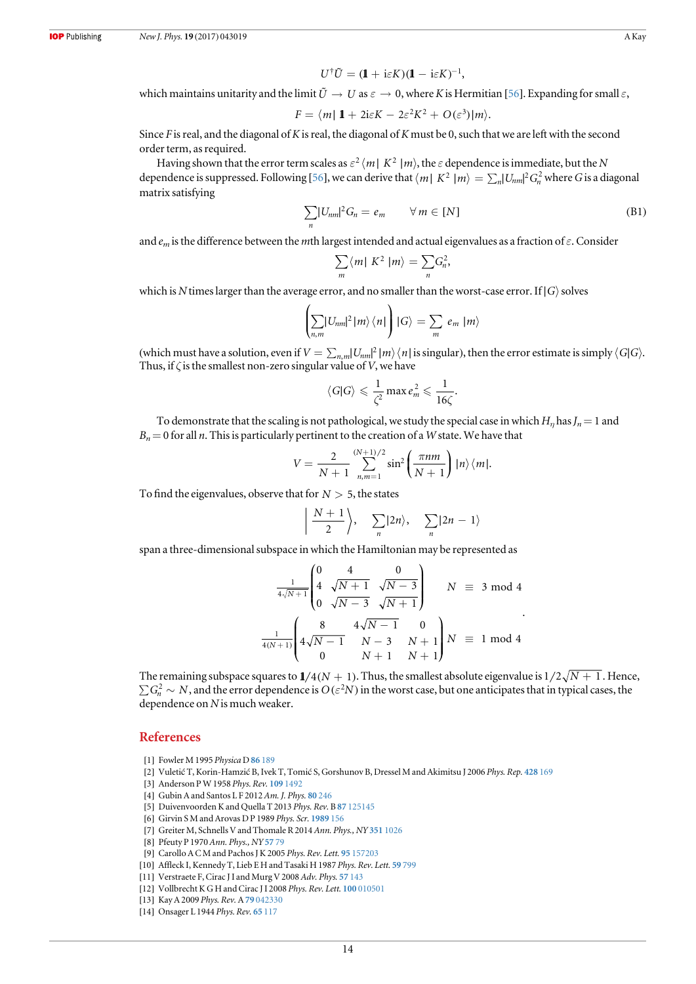$$
U^{\dagger} \tilde{U} = (\mathbf{1} + i \varepsilon K)(\mathbf{1} - i \varepsilon K)^{-1},
$$

<span id="page-14-0"></span>which maintains unitarity and the limit  $\tilde{U} \to U$  as  $\varepsilon \to 0$ , where K is Hermitian [[56](#page-15-0)]. Expanding for small  $\varepsilon$ ,

$$
F = \langle m | 1 + 2i\varepsilon K - 2\varepsilon^2 K^2 + O(\varepsilon^3) | m \rangle.
$$

Since F is real, and the diagonal of K is real, the diagonal of K must be 0, such that we are left with the second order term, as required.

Having shown that the error term scales as  $\varepsilon^2$  *(m| K<sup>2</sup> |m)*, the  $\varepsilon$  dependence is immediate, but the N dependence is suppressed. Following [[56](#page-15-0)], we can derive that  $\langle m | K^2 | m \rangle = \sum_n |U_{nm}|^2 G_n^2$  where G is a diagonal matrix satisfying

$$
\sum_{n} |U_{nm}|^2 G_n = e_m \qquad \forall \, m \in [N] \tag{B1}
$$

and  $e_m$  is the difference between the mth largest intended and actual eigenvalues as a fraction of  $\varepsilon$ . Consider

$$
\sum_{m} \langle m | K^2 | m \rangle = \sum_{n} G_n^2,
$$

which is N times larger than the average error, and no smaller than the worst-case error. If  $|G\rangle$  solves

$$
\left(\sum_{n,m}|U_{nm}|^2|m\rangle\langle n|\right)|G\rangle = \sum_m e_m|m\rangle
$$

(which must have a solution, even if  $V = \sum_{n,m} |U_{nm}|^2 |m\rangle \langle n|$  is singular), then the error estimate is simply  $\langle G|G \rangle$ . Thus, if  $\zeta$  is the smallest non-zero singular value of V, we have

$$
\langle G|G\rangle \leqslant \frac{1}{\zeta^2} \max e_m^2 \leqslant \frac{1}{16\zeta}.
$$

To demonstrate that the scaling is not pathological, we study the special case in which  $H_n$  has  $J_n=1$  and  $B_n= 0$  for all n. This is particularly pertinent to the creation of a W state. We have that

$$
V = \frac{2}{N+1} \sum_{n,m=1}^{(N+1)/2} \sin^2\left(\frac{\pi nm}{N+1}\right) |n\rangle \langle m|.
$$

To find the eigenvalues, observe that for  $N > 5$ , the states

$$
\left|\frac{N+1}{2}\right\rangle, \quad \sum_{n} |2n\rangle, \quad \sum_{n} |2n-1\rangle
$$

span a three-dimensional subspace in which the Hamiltonian may be represented as

$$
\frac{1}{4\sqrt{N+1}} \begin{pmatrix} 0 & 4 & 0 \\ 4 & \sqrt{N+1} & \sqrt{N-3} \\ 0 & \sqrt{N-3} & \sqrt{N+1} \end{pmatrix} \qquad N \equiv 3 \mod 4
$$
  

$$
\frac{1}{4(N+1)} \begin{pmatrix} 8 & 4\sqrt{N-1} & 0 \\ 4\sqrt{N-1} & N-3 & N+1 \\ 0 & N+1 & N+1 \end{pmatrix} N \equiv 1 \mod 4
$$

The remaining subspace squares to  $1/4(N + 1)$ . Thus, the smallest absolute eigenvalue is  $1/2\sqrt{N+1}$ . Hence,  $\sum G_n^2 \sim N$ , and the error dependence is  $O(\varepsilon^2 N)$  in the worst case, but one anticipates that in typical cases, the dependence on N is much weaker.

#### References

- [1] Fowler M 1995 Physica D 86 [189](https://doi.org/10.1016/0167-2789(95)00100-I)
- [2] Vuletić T, Korin-Hamzić B, Ivek T, Tomić S, Gorshunov B, Dressel M and Akimitsu J 2006 Phys. Rep. [428](https://doi.org/10.1016/j.physrep.2006.01.005) 169
- [3] Anderson P W 1958 Phys. Rev. 109 [1492](https://doi.org/10.1103/PhysRev.109.1492)
- [4] Gubin A and Santos L F 2012 Am. J. Phys. 80 [246](https://doi.org/10.1119/1.3671068)
- [5] Duivenvoorden K and Quella T 2013 Phys. Rev. B 87 [125145](https://doi.org/10.1103/PhysRevB.87.125145)
- [6] Girvin S M and Arovas D P 1989 Phys. Scr. [1989](https://doi.org/10.1088/0031-8949/1989/T27/027) 156
- [7] Greiter M, Schnells V and Thomale R 2014 Ann. Phys., NY 351 [1026](https://doi.org/10.1016/j.aop.2014.08.013)
- [8] Pfeuty P 1970 Ann. Phys., NY [57](https://doi.org/10.1016/0003-4916(70)90270-8) 79
- [9] Carollo A C M and Pachos J K 2005 Phys. Rev. Lett. 95 [157203](https://doi.org/10.1103/PhysRevLett.95.157203)
- [10] Affleck I, Kennedy T, Lieb E H and Tasaki H 1987 Phys. Rev. Lett. 59 [799](https://doi.org/10.1103/PhysRevLett.59.799)
- [11] Verstraete F, Cirac J I and Murg V 2008 Adv. Phys. 57 [143](https://doi.org/10.1080/14789940801912366)
- [12] Vollbrecht K G H and Cirac J I 2008 Phys. Rev. Lett. 100 [010501](https://doi.org/10.1103/PhysRevLett.100.010501)
- [13] Kay A 2009 Phys. Rev. A 79 [042330](https://doi.org/10.1103/PhysRevA.79.042330)
- [14] Onsager L 1944 Phys. Rev. 65 [117](https://doi.org/10.1103/PhysRev.65.117)